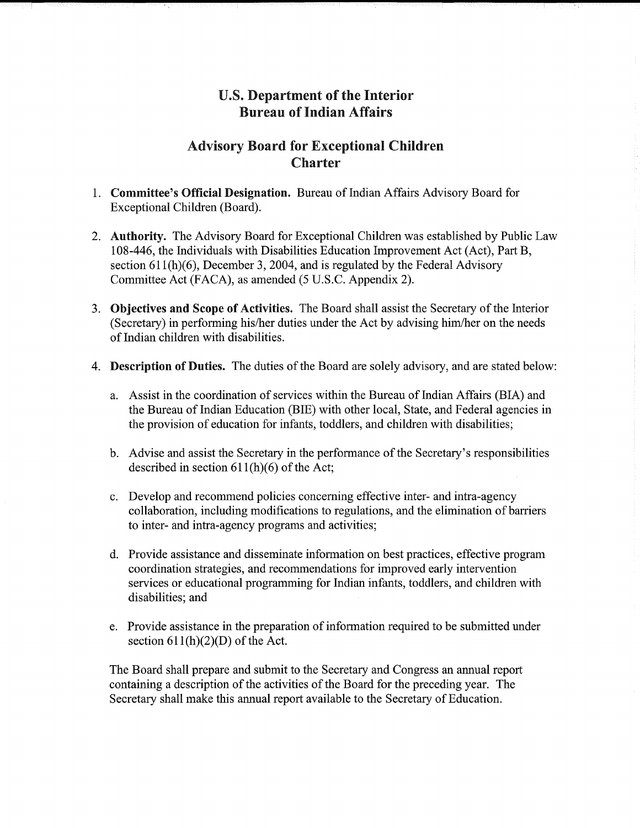# U.S. Department of the Interior Bureau of Indian Affairs

## Advisory Board for Exceptional Children Charter

- 1. **Committee's Official Designation.** Bureau of Indian Affairs Advisory Board for Exceptional Children (Board).
- 2. **Authority.** The Advisory Board for Exceptional Children was established by Public Law 108-446, the Individuals with Disabilities Education Improvement Act (Act), Part B, section 611(h)(6), December 3, 2004, and is regulated by the Federal Advisory Committee Act (FACA), as amended (5 U.S.C. Appendix 2).
- 3. **Objectives and Scope of Activities.** The Board shall assist the Secretary ofthe Interior (Secretary) in performing his/her duties under the Act by advising him/her on the needs of Indian children with disabilities.
- 4. **Description of Duties.** The duties of the Board are solely advisory, and are stated below:
	- a. Assist in the coordination of services within the Bureau of Indian Affairs (BIA) and the Bureau of Indian Education (BIE) with other local, State, and Federal agencies in the provision of education for infants, toddlers, and children with disabilities;
	- b. Advise and assist the Secretary in the performance of the Secretary's responsibilities described in section  $611(h)(6)$  of the Act;
	- c. Develop and recommend policies concerning effective inter- and intra-agency collaboration, including modifications to regulations, and the elimination of barriers to inter- and intra-agency programs and activities;
	- d. Provide assistance and disseminate information on best practices, effective program coordination strategies, and recommendations for improved early intervention services or educational programming for Indian infants, toddlers, and children with disabilities; and
	- e. Provide assistance in the preparation of information required to be submitted under section  $611(h)(2)(D)$  of the Act.

The Board shall prepare and submit to the Secretary and Congress an annual report containing a description of the activities of the Board for the preceding year. The Secretary shall make this annual report available to the Secretary of Education.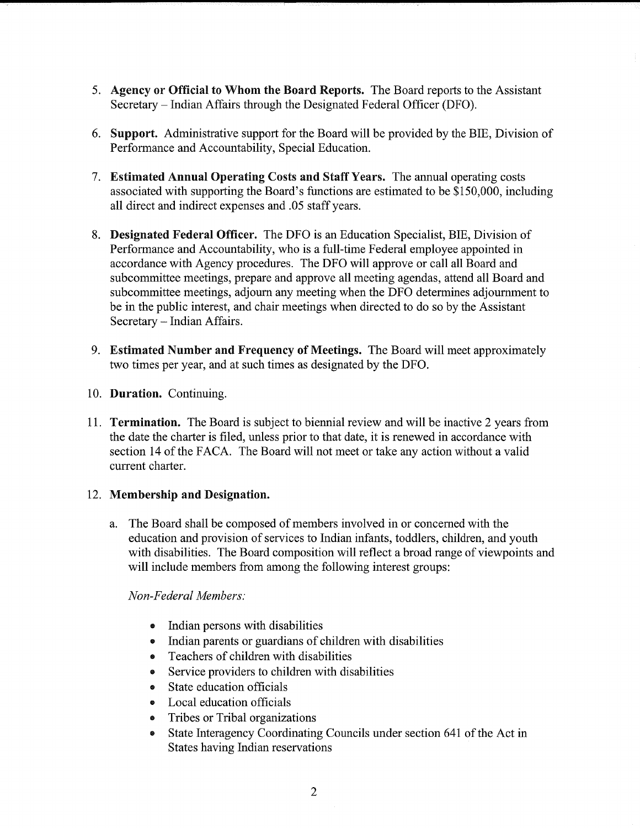- 5. Agency or Official to Whom the Board Reports. The Board reports to the Assistant Secretary-Indian Affairs through the Designated Federal Officer (DFO).
- 6. Support. Administrative support for the Board will be provided by the BIE, Division of Performance and Accountability, Special Education.
- 7. Estimated Annual Operating Costs and Staff Years. The annual operating costs associated with supporting the Board's functions are estimated to be \$150,000, including all direct and indirect expenses and .05 staff years.
- 8. **Designated Federal Officer.** The DFO is an Education Specialist, BIE, Division of Performance and Accountability, who is a full-time Federal employee appointed in accordance with Agency procedures. The DFO will approve or call all Board and subcommittee meetings, prepare and approve all meeting agendas, attend all Board and subcommittee meetings, adjourn any meeting when the DFO determines adjournment to be in the public interest, and chair meetings when directed to do so by the Assistant Secretary- Indian Affairs.
- 9. **Estimated Number and Frequency of Meetings.** The Board will meet approximately two times per year, and at such times as designated by the DFO.
- 10. **Duration.** Continuing.
- 11. **Termination.** The Board is subject to biennial review and will be inactive 2 years from the date the charter is filed, unless prior to that date, it is renewed in accordance with section 14 of the FACA. The Board will not meet or take any action without a valid current charter.

#### 12. **Membership and Designation.**

a. The Board shall be composed of members involved in or concerned with the education and provision of services to Indian infants, toddlers, children, and youth with disabilities. The Board composition will reflect a broad range of viewpoints and will include members from among the following interest groups:

#### *Non-Federal Members:*

- Indian persons with disabilities
- Indian parents or guardians of children with disabilities
- Teachers of children with disabilities
- Service providers to children with disabilities
- State education officials
- Local education officials
- Tribes or Tribal organizations
- State Interagency Coordinating Councils under section 641 of the Act in States having Indian reservations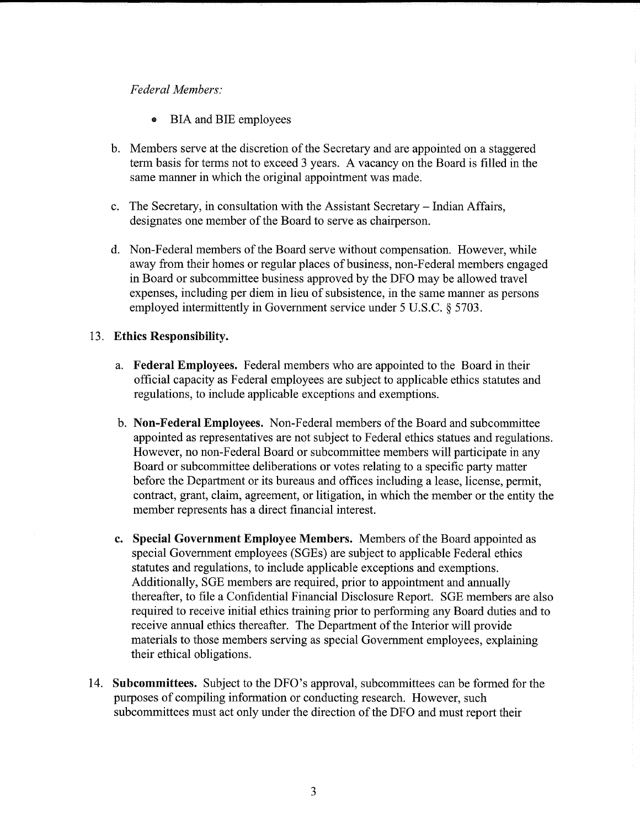### *Federal Members:*

- BIA and BIE employees
- b. Members serve at the discretion of the Secretary and are appointed on a staggered term basis for terms not to exceed 3 years. A vacancy on the Board is filled in the same manner in which the original appointment was made.
- c. The Secretary, in consultation with the Assistant Secretary- Indian Affairs, designates one member of the Board to serve as chairperson.
- d. Non-Federal members of the Board serve without compensation. However, while away from their homes or regular places of business, non-Federal members engaged in Board or subcommittee business approved by the DFO may be allowed travel expenses, including per diem in lieu of subsistence, in the same manner as persons employed intermittently in Government service under 5 U.S.C. § 5703.

#### 13. **Ethics Responsibility.**

- a. **Federal Employees.** Federal members who are appointed to the Board in their official capacity as Federal employees are subject to applicable ethics statutes and regulations, to include applicable exceptions and exemptions.
- b. **Non-Federal Employees.** Non-Federal members of the Board and subcommittee appointed as representatives are not subject to Federal ethics statues and regulations. However, no non-Federal Board or subcommittee members will participate in any Board or subcommittee deliberations or votes relating to a specific party matter before the Department or its bureaus and offices including a lease, license, permit, contract, grant, claim, agreement, or litigation, in which the member or the entity the member represents has a direct financial interest.
- **c. Special Government Employee Members.** Members of the Board appointed as special Government employees (SGEs) are subject to applicable Federal ethics statutes and regulations, to include applicable exceptions and exemptions. Additionally, SGE members are required, prior to appointment and annually thereafter, to file a Confidential Financial Disclosure Report. SGE members are also required to receive initial ethics training prior to performing any Board duties and to receive annual ethics thereafter. The Department of the Interior will provide materials to those members serving as special Government employees, explaining their ethical obligations.
- 14. **Subcommittees.** Subject to the DFO's approval, subcommittees can be formed for the purposes of compiling information or conducting research. However, such subcommittees must act only under the direction of the DFO and must report their